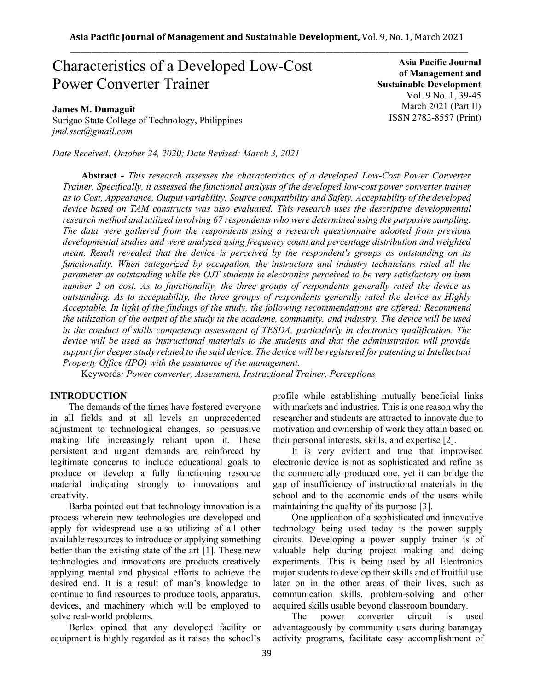# Characteristics of a Developed Low-Cost Power Converter Trainer

## **James M. Dumaguit**

Surigao State College of Technology, Philippines *jmd.ssct@gmail.com*

*Date Received: October 24, 2020; Date Revised: March 3, 2021*

**Asia Pacific Journal of Management and Sustainable Development**  Vol. 9 No. 1, 39-45 March 2021 (Part II) ISSN 2782-8557 (Print)

**Abstract** *- This research assesses the characteristics of a developed Low-Cost Power Converter Trainer. Specifically, it assessed the functional analysis of the developed low-cost power converter trainer as to Cost, Appearance, Output variability, Source compatibility and Safety. Acceptability of the developed device based on TAM constructs was also evaluated. This research uses the descriptive developmental research method and utilized involving 67 respondents who were determined using the purposive sampling. The data were gathered from the respondents using a research questionnaire adopted from previous developmental studies and were analyzed using frequency count and percentage distribution and weighted mean. Result revealed that the device is perceived by the respondent's groups as outstanding on its functionality. When categorized by occupation, the instructors and industry technicians rated all the parameter as outstanding while the OJT students in electronics perceived to be very satisfactory on item number 2 on cost. As to functionality, the three groups of respondents generally rated the device as outstanding. As to acceptability, the three groups of respondents generally rated the device as Highly Acceptable. In light of the findings of the study, the following recommendations are offered: Recommend the utilization of the output of the study in the academe, community, and industry. The device will be used in the conduct of skills competency assessment of TESDA, particularly in electronics qualification. The device will be used as instructional materials to the students and that the administration will provide support for deeper study related to the said device. The device will be registered for patenting at Intellectual Property Office (IPO) with the assistance of the management.*

Keywords*: Power converter, Assessment, Instructional Trainer, Perceptions*

#### **INTRODUCTION**

The demands of the times have fostered everyone in all fields and at all levels an unprecedented adjustment to technological changes, so persuasive making life increasingly reliant upon it. These persistent and urgent demands are reinforced by legitimate concerns to include educational goals to produce or develop a fully functioning resource material indicating strongly to innovations and creativity.

Barba pointed out that technology innovation is a process wherein new technologies are developed and apply for widespread use also utilizing of all other available resources to introduce or applying something better than the existing state of the art [1]. These new technologies and innovations are products creatively applying mental and physical efforts to achieve the desired end. It is a result of man's knowledge to continue to find resources to produce tools, apparatus, devices, and machinery which will be employed to solve real-world problems.

Berlex opined that any developed facility or equipment is highly regarded as it raises the school's profile while establishing mutually beneficial links with markets and industries. This is one reason why the researcher and students are attracted to innovate due to motivation and ownership of work they attain based on their personal interests, skills, and expertise [2].

It is very evident and true that improvised electronic device is not as sophisticated and refine as the commercially produced one, yet it can bridge the gap of insufficiency of instructional materials in the school and to the economic ends of the users while maintaining the quality of its purpose [3].

One application of a sophisticated and innovative technology being used today is the power supply circuits. Developing a power supply trainer is of valuable help during project making and doing experiments. This is being used by all Electronics major students to develop their skills and of fruitful use later on in the other areas of their lives, such as communication skills, problem-solving and other acquired skills usable beyond classroom boundary.

The power converter circuit is used advantageously by community users during barangay activity programs, facilitate easy accomplishment of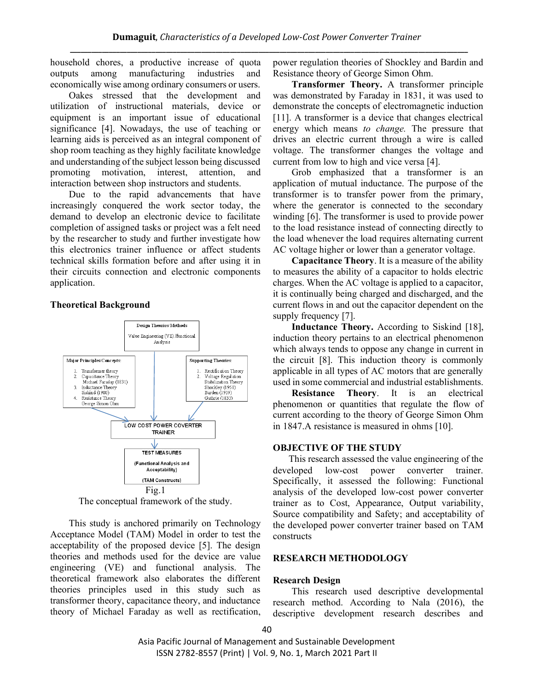household chores, a productive increase of quota outputs among manufacturing industries and economically wise among ordinary consumers or users.

Oakes stressed that the development and utilization of instructional materials, device or equipment is an important issue of educational significance [4]. Nowadays, the use of teaching or learning aids is perceived as an integral component of shop room teaching as they highly facilitate knowledge and understanding of the subject lesson being discussed promoting motivation, interest, attention, and interaction between shop instructors and students.

Due to the rapid advancements that have increasingly conquered the work sector today, the demand to develop an electronic device to facilitate completion of assigned tasks or project was a felt need by the researcher to study and further investigate how this electronics trainer influence or affect students technical skills formation before and after using it in their circuits connection and electronic components application.

## **Theoretical Background**



The conceptual framework of the study.

This study is anchored primarily on Technology Acceptance Model (TAM) Model in order to test the acceptability of the proposed device [5]. The design theories and methods used for the device are value engineering (VE) and functional analysis. The theoretical framework also elaborates the different theories principles used in this study such as transformer theory, capacitance theory, and inductance theory of Michael Faraday as well as rectification,

power regulation theories of Shockley and Bardin and Resistance theory of George Simon Ohm.

**Transformer Theory.** A transformer principle was demonstrated by Faraday in 1831, it was used to demonstrate the concepts of electromagnetic induction [11]. A transformer is a device that changes electrical energy which means *to change.* The pressure that drives an electric current through a wire is called voltage. The transformer changes the voltage and current from low to high and vice versa [4].

Grob emphasized that a transformer is an application of mutual inductance. The purpose of the transformer is to transfer power from the primary, where the generator is connected to the secondary winding [6]. The transformer is used to provide power to the load resistance instead of connecting directly to the load whenever the load requires alternating current AC voltage higher or lower than a generator voltage.

**Capacitance Theory**. It is a measure of the ability to measures the ability of a capacitor to holds electric charges. When the AC voltage is applied to a capacitor, it is continually being charged and discharged, and the current flows in and out the capacitor dependent on the supply frequency [7].

**Inductance Theory.** According to Siskind [18], induction theory pertains to an electrical phenomenon which always tends to oppose any change in current in the circuit [8]. This induction theory is commonly applicable in all types of AC motors that are generally used in some commercial and industrial establishments.

**Resistance Theory**. It is an electrical phenomenon or quantities that regulate the flow of current according to the theory of George Simon Ohm in 1847.A resistance is measured in ohms [10].

## **OBJECTIVE OF THE STUDY**

This research assessed the value engineering of the developed low-cost power converter trainer. Specifically, it assessed the following: Functional analysis of the developed low-cost power converter trainer as to Cost, Appearance, Output variability, Source compatibility and Safety; and acceptability of the developed power converter trainer based on TAM constructs

## **RESEARCH METHODOLOGY**

## **Research Design**

This research used descriptive developmental research method. According to Nala (2016), the descriptive development research describes and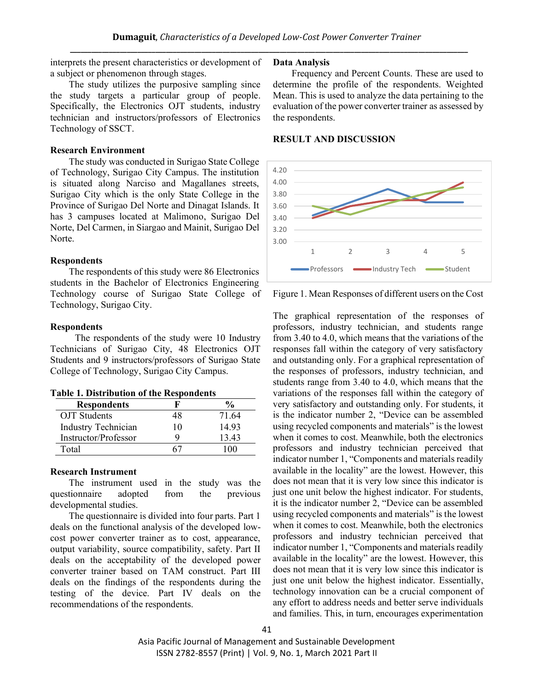interprets the present characteristics or development of a subject or phenomenon through stages.

The study utilizes the purposive sampling since the study targets a particular group of people. Specifically, the Electronics OJT students, industry technician and instructors/professors of Electronics Technology of SSCT.

#### **Research Environment**

The study was conducted in Surigao State College of Technology, Surigao City Campus. The institution is situated along Narciso and Magallanes streets, Surigao City which is the only State College in the Province of Surigao Del Norte and Dinagat Islands. It has 3 campuses located at Malimono, Surigao Del Norte, Del Carmen, in Siargao and Mainit, Surigao Del Norte.

### **Respondents**

The respondents of this study were 86 Electronics students in the Bachelor of Electronics Engineering Technology course of Surigao State College of Technology, Surigao City.

### **Respondents**

The respondents of the study were 10 Industry Technicians of Surigao City, 48 Electronics OJT Students and 9 instructors/professors of Surigao State College of Technology, Surigao City Campus.

| <b>Table 1. Distribution of the Respondents</b> |
|-------------------------------------------------|
|-------------------------------------------------|

| <b>Respondents</b>         |    | $\frac{6}{10}$ |
|----------------------------|----|----------------|
| <b>OJT</b> Students        | 48 | 71.64          |
| <b>Industry Technician</b> | 10 | 1493           |
| Instructor/Professor       |    | 13.43          |
| Total                      |    |                |

## **Research Instrument**

The instrument used in the study was the questionnaire adopted from the previous developmental studies.

The questionnaire is divided into four parts. Part 1 deals on the functional analysis of the developed lowcost power converter trainer as to cost, appearance, output variability, source compatibility, safety. Part II deals on the acceptability of the developed power converter trainer based on TAM construct. Part III deals on the findings of the respondents during the testing of the device. Part IV deals on the recommendations of the respondents.

#### **Data Analysis**

Frequency and Percent Counts. These are used to determine the profile of the respondents. Weighted Mean. This is used to analyze the data pertaining to the evaluation of the power converter trainer as assessed by the respondents.

## **RESULT AND DISCUSSION**



Figure 1. Mean Responses of different users on the Cost

The graphical representation of the responses of professors, industry technician, and students range from 3.40 to 4.0, which means that the variations of the responses fall within the category of very satisfactory and outstanding only. For a graphical representation of the responses of professors, industry technician, and students range from 3.40 to 4.0, which means that the variations of the responses fall within the category of very satisfactory and outstanding only. For students, it is the indicator number 2, "Device can be assembled using recycled components and materials" is the lowest when it comes to cost. Meanwhile, both the electronics professors and industry technician perceived that indicator number 1, "Components and materials readily available in the locality" are the lowest. However, this does not mean that it is very low since this indicator is just one unit below the highest indicator. For students, it is the indicator number 2, "Device can be assembled using recycled components and materials" is the lowest when it comes to cost. Meanwhile, both the electronics professors and industry technician perceived that indicator number 1, "Components and materials readily available in the locality" are the lowest. However, this does not mean that it is very low since this indicator is just one unit below the highest indicator. Essentially, technology innovation can be a crucial component of any effort to address needs and better serve individuals and families. This, in turn, encourages experimentation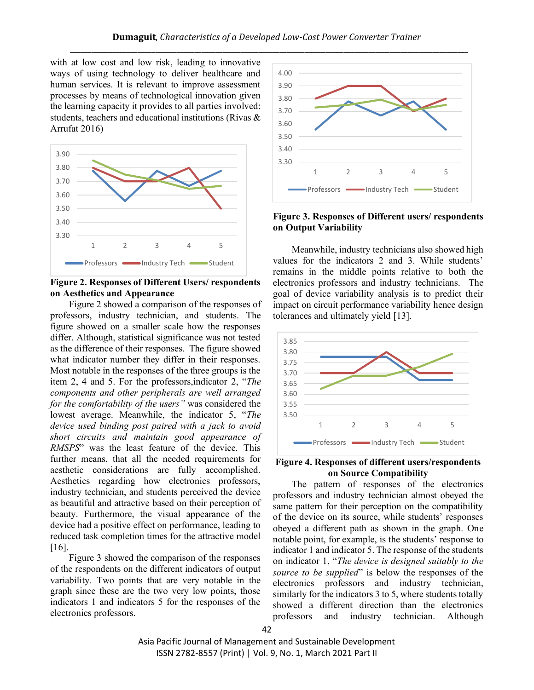with at low cost and low risk, leading to innovative ways of using technology to deliver healthcare and human services. It is relevant to improve assessment processes by means of technological innovation given the learning capacity it provides to all parties involved: students, teachers and educational institutions (Rivas & Arrufat 2016)



**Figure 2. Responses of Different Users/ respondents on Aesthetics and Appearance**

Figure 2 showed a comparison of the responses of professors, industry technician, and students. The figure showed on a smaller scale how the responses differ. Although, statistical significance was not tested as the difference of their responses. The figure showed what indicator number they differ in their responses. Most notable in the responses of the three groups is the item 2, 4 and 5. For the professors,indicator 2, "*The components and other peripherals are well arranged for the comfortability of the users"* was considered the lowest average. Meanwhile, the indicator 5, "*The device used binding post paired with a jack to avoid short circuits and maintain good appearance of RMSPS*" was the least feature of the device. This further means, that all the needed requirements for aesthetic considerations are fully accomplished. Aesthetics regarding how electronics professors, industry technician, and students perceived the device as beautiful and attractive based on their perception of beauty. Furthermore, the visual appearance of the device had a positive effect on performance, leading to reduced task completion times for the attractive model [16].

Figure 3 showed the comparison of the responses of the respondents on the different indicators of output variability. Two points that are very notable in the graph since these are the two very low points, those indicators 1 and indicators 5 for the responses of the electronics professors.



**Figure 3. Responses of Different users/ respondents on Output Variability** 

Meanwhile, industry technicians also showed high values for the indicators 2 and 3. While students' remains in the middle points relative to both the electronics professors and industry technicians. The goal of device variability analysis is to predict their impact on circuit performance variability hence design tolerances and ultimately yield [13].



#### **Figure 4. Responses of different users/respondents on Source Compatibility**

The pattern of responses of the electronics professors and industry technician almost obeyed the same pattern for their perception on the compatibility of the device on its source, while students' responses obeyed a different path as shown in the graph. One notable point, for example, is the students' response to indicator 1 and indicator 5. The response of the students on indicator 1, "*The device is designed suitably to the source to be supplied*" is below the responses of the electronics professors and industry technician, similarly for the indicators 3 to 5, where students totally showed a different direction than the electronics professors and industry technician. Although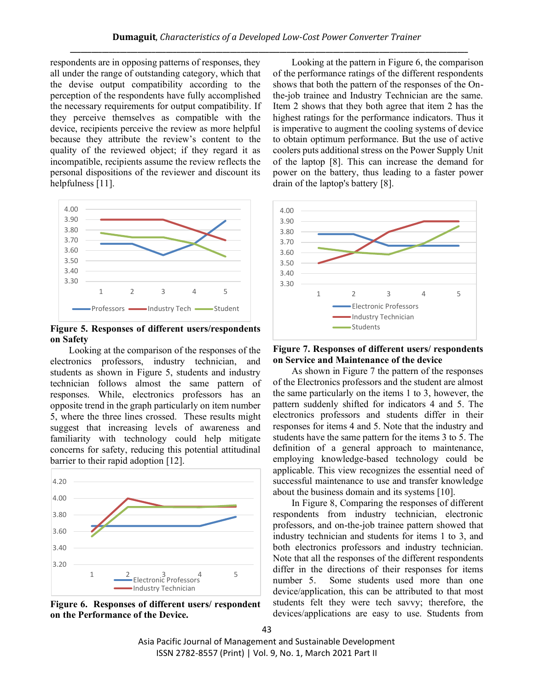respondents are in opposing patterns of responses, they all under the range of outstanding category, which that the devise output compatibility according to the perception of the respondents have fully accomplished the necessary requirements for output compatibility. If they perceive themselves as compatible with the device, recipients perceive the review as more helpful because they attribute the review's content to the quality of the reviewed object; if they regard it as incompatible, recipients assume the review reflects the personal dispositions of the reviewer and discount its helpfulness [11].



**Figure 5. Responses of different users/respondents on Safety**

Looking at the comparison of the responses of the electronics professors, industry technician, and students as shown in Figure 5, students and industry technician follows almost the same pattern of responses. While, electronics professors has an opposite trend in the graph particularly on item number 5, where the three lines crossed. These results might suggest that increasing levels of awareness and familiarity with technology could help mitigate concerns for safety, reducing this potential attitudinal barrier to their rapid adoption [12].



**Figure 6. Responses of different users/ respondent on the Performance of the Device.** 

Looking at the pattern in Figure 6, the comparison of the performance ratings of the different respondents shows that both the pattern of the responses of the Onthe-job trainee and Industry Technician are the same. Item 2 shows that they both agree that item 2 has the highest ratings for the performance indicators. Thus it is imperative to augment the cooling systems of device to obtain optimum performance. But the use of active coolers puts additional stress on the Power Supply Unit of the laptop [8]. This can increase the demand for power on the battery, thus leading to a faster power drain of the laptop's battery [8].



**Figure 7. Responses of different users/ respondents on Service and Maintenance of the device**

As shown in Figure 7 the pattern of the responses of the Electronics professors and the student are almost the same particularly on the items 1 to 3, however, the pattern suddenly shifted for indicators 4 and 5. The electronics professors and students differ in their responses for items 4 and 5. Note that the industry and students have the same pattern for the items 3 to 5. The definition of a general approach to maintenance, employing knowledge-based technology could be applicable. This view recognizes the essential need of successful maintenance to use and transfer knowledge about the business domain and its systems [10].

In Figure 8, Comparing the responses of different respondents from industry technician, electronic professors, and on-the-job trainee pattern showed that industry technician and students for items 1 to 3, and both electronics professors and industry technician. Note that all the responses of the different respondents differ in the directions of their responses for items number 5. Some students used more than one device/application, this can be attributed to that most students felt they were tech savvy; therefore, the devices/applications are easy to use. Students from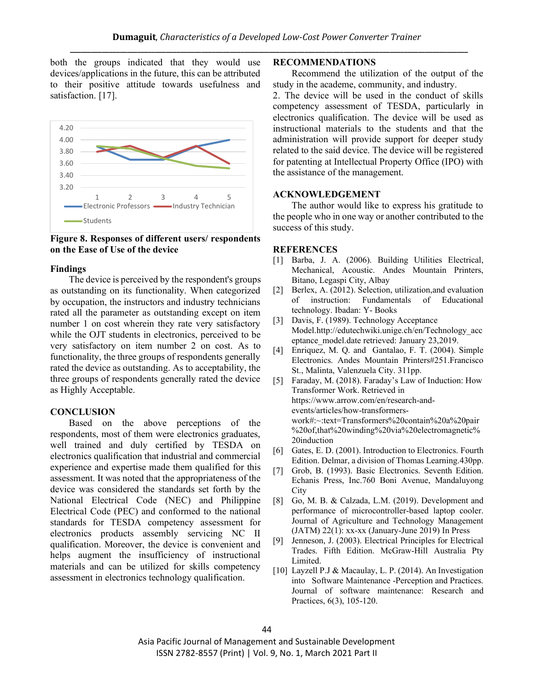both the groups indicated that they would use devices/applications in the future, this can be attributed to their positive attitude towards usefulness and satisfaction. [17].



**Figure 8. Responses of different users/ respondents on the Ease of Use of the device** 

### **Findings**

The device is perceived by the respondent's groups as outstanding on its functionality. When categorized by occupation, the instructors and industry technicians rated all the parameter as outstanding except on item number 1 on cost wherein they rate very satisfactory while the OJT students in electronics, perceived to be very satisfactory on item number 2 on cost. As to functionality, the three groups of respondents generally rated the device as outstanding. As to acceptability, the three groups of respondents generally rated the device as Highly Acceptable.

## **CONCLUSION**

Based on the above perceptions of the respondents, most of them were electronics graduates, well trained and duly certified by TESDA on electronics qualification that industrial and commercial experience and expertise made them qualified for this assessment. It was noted that the appropriateness of the device was considered the standards set forth by the National Electrical Code (NEC) and Philippine Electrical Code (PEC) and conformed to the national standards for TESDA competency assessment for electronics products assembly servicing NC II qualification. Moreover, the device is convenient and helps augment the insufficiency of instructional materials and can be utilized for skills competency assessment in electronics technology qualification.

### **RECOMMENDATIONS**

Recommend the utilization of the output of the study in the academe, community, and industry.

2. The device will be used in the conduct of skills competency assessment of TESDA, particularly in electronics qualification. The device will be used as instructional materials to the students and that the administration will provide support for deeper study related to the said device. The device will be registered for patenting at Intellectual Property Office (IPO) with the assistance of the management.

## **ACKNOWLEDGEMENT**

The author would like to express his gratitude to the people who in one way or another contributed to the success of this study.

### **REFERENCES**

- [1] Barba, J. A. (2006). Building Utilities Electrical, Mechanical, Acoustic. Andes Mountain Printers, Bitano, Legaspi City, Albay
- [2] Berlex, A. (2012). Selection, utilization, and evaluation of instruction: Fundamentals of Educational technology. Ibadan: Y- Books
- [3] Davis, F. (1989). Technology Acceptance Model.http://edutechwiki.unige.ch/en/Technology\_acc eptance\_model.date retrieved: January 23,2019.
- [4] Enriquez, M. Q. and Gantalao, F. T. (2004). Simple Electronics. Andes Mountain Printers#251.Francisco St., Malinta, Valenzuela City. 311pp.
- [5] Faraday, M. (2018). Faraday's Law of Induction: How Transformer Work. Retrieved in [https://www.arrow.com/en/research-and](https://www.arrow.com/en/research-and-events/articles/how-transformers-work#:~:text=Transformers%20contain%20a%20pair%20of,that%20winding%20via%20electromagnetic%20induction)[events/articles/how-transformers](https://www.arrow.com/en/research-and-events/articles/how-transformers-work#:~:text=Transformers%20contain%20a%20pair%20of,that%20winding%20via%20electromagnetic%20induction)[work#:~:text=Transformers%20contain%20a%20pair](https://www.arrow.com/en/research-and-events/articles/how-transformers-work#:~:text=Transformers%20contain%20a%20pair%20of,that%20winding%20via%20electromagnetic%20induction) [%20of,that%20winding%20via%20electromagnetic%](https://www.arrow.com/en/research-and-events/articles/how-transformers-work#:~:text=Transformers%20contain%20a%20pair%20of,that%20winding%20via%20electromagnetic%20induction) [20induction](https://www.arrow.com/en/research-and-events/articles/how-transformers-work#:~:text=Transformers%20contain%20a%20pair%20of,that%20winding%20via%20electromagnetic%20induction)
- [6] Gates, E. D. (2001). Introduction to Electronics. Fourth Edition. Delmar, a division of Thomas Learning.430pp.
- [7] Grob, B. (1993). Basic Electronics. Seventh Edition. Echanis Press, Inc.760 Boni Avenue, Mandaluyong **City**
- [8] Go, M. B. & Calzada, L.M. (2019). Development and performance of microcontroller-based laptop cooler. Journal of Agriculture and Technology Management  $(JATM)$  22(1): xx-xx (January-June 2019) In Press
- [9] Jenneson, J. (2003). Electrical Principles for Electrical Trades. Fifth Edition. McGraw-Hill Australia Pty Limited.
- [10] Layzell P.J & Macaulay, L. P. (2014). An Investigation into Software Maintenance -Perception and Practices. Journal of software maintenance: Research and Practices, 6(3), 105-120.